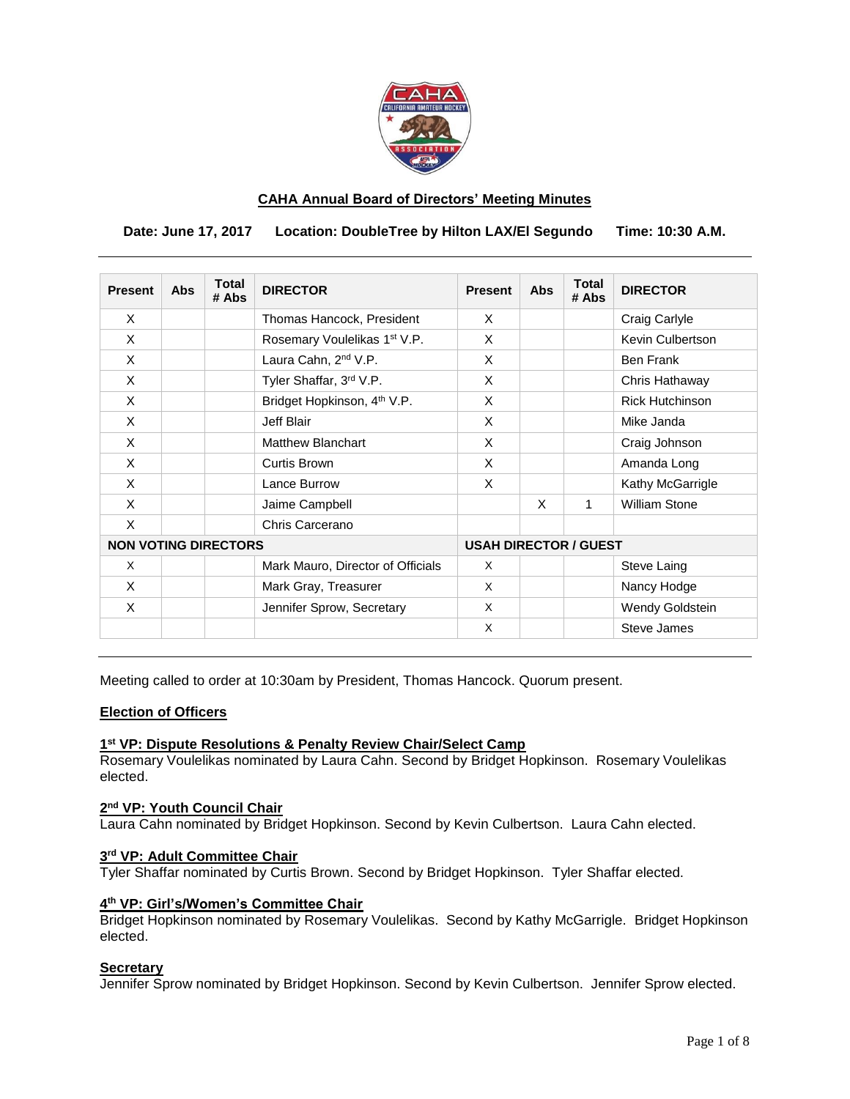

# **CAHA Annual Board of Directors' Meeting Minutes**

**Date: June 17, 2017 Location: DoubleTree by Hilton LAX/El Segundo Time: 10:30 A.M.**

| <b>Present</b>              | <b>Abs</b> | <b>Total</b><br># Abs | <b>DIRECTOR</b>                          | <b>Present</b>               | Abs | <b>Total</b><br># Abs | <b>DIRECTOR</b>        |
|-----------------------------|------------|-----------------------|------------------------------------------|------------------------------|-----|-----------------------|------------------------|
| X                           |            |                       | Thomas Hancock, President                | X                            |     |                       | Craig Carlyle          |
| X                           |            |                       | Rosemary Voulelikas 1 <sup>st</sup> V.P. | X                            |     |                       | Kevin Culbertson       |
| X                           |            |                       | Laura Cahn, 2 <sup>nd</sup> V.P.         | X                            |     |                       | <b>Ben Frank</b>       |
| X                           |            |                       | Tyler Shaffar, 3rd V.P.                  | X                            |     |                       | Chris Hathaway         |
| X                           |            |                       | Bridget Hopkinson, 4 <sup>th</sup> V.P.  | X                            |     |                       | <b>Rick Hutchinson</b> |
| $\times$                    |            |                       | Jeff Blair                               | X                            |     |                       | Mike Janda             |
| X                           |            |                       | <b>Matthew Blanchart</b>                 | X                            |     |                       | Craig Johnson          |
| X                           |            |                       | Curtis Brown                             | X                            |     |                       | Amanda Long            |
| X                           |            |                       | Lance Burrow                             | X                            |     |                       | Kathy McGarrigle       |
| $\times$                    |            |                       | Jaime Campbell                           |                              | X   | 1                     | <b>William Stone</b>   |
| X                           |            |                       | Chris Carcerano                          |                              |     |                       |                        |
| <b>NON VOTING DIRECTORS</b> |            |                       |                                          | <b>USAH DIRECTOR / GUEST</b> |     |                       |                        |
| X                           |            |                       | Mark Mauro, Director of Officials        | X                            |     |                       | Steve Laing            |
| X                           |            |                       | Mark Gray, Treasurer                     | X                            |     |                       | Nancy Hodge            |
| X                           |            |                       | Jennifer Sprow, Secretary                | X                            |     |                       | Wendy Goldstein        |
|                             |            |                       |                                          | X                            |     |                       | Steve James            |

Meeting called to order at 10:30am by President, Thomas Hancock. Quorum present.

# **Election of Officers**

# **1 st VP: Dispute Resolutions & Penalty Review Chair/Select Camp**

Rosemary Voulelikas nominated by Laura Cahn. Second by Bridget Hopkinson. Rosemary Voulelikas elected.

#### **2 nd VP: Youth Council Chair**

Laura Cahn nominated by Bridget Hopkinson. Second by Kevin Culbertson. Laura Cahn elected.

#### **3 rd VP: Adult Committee Chair**

Tyler Shaffar nominated by Curtis Brown. Second by Bridget Hopkinson. Tyler Shaffar elected.

#### **4 th VP: Girl's/Women's Committee Chair**

Bridget Hopkinson nominated by Rosemary Voulelikas. Second by Kathy McGarrigle. Bridget Hopkinson elected.

## **Secretary**

Jennifer Sprow nominated by Bridget Hopkinson. Second by Kevin Culbertson. Jennifer Sprow elected.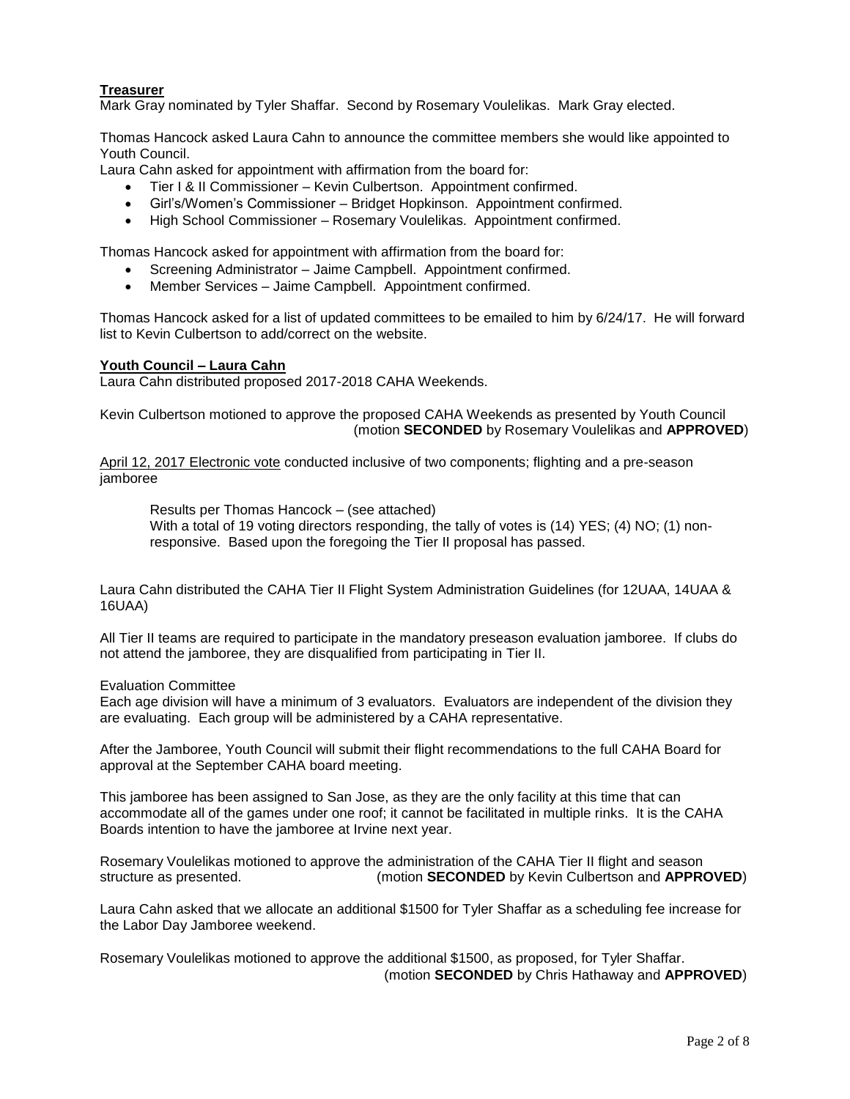# **Treasurer**

Mark Gray nominated by Tyler Shaffar. Second by Rosemary Voulelikas. Mark Gray elected.

Thomas Hancock asked Laura Cahn to announce the committee members she would like appointed to Youth Council.

Laura Cahn asked for appointment with affirmation from the board for:

- Tier I & II Commissioner Kevin Culbertson. Appointment confirmed.
- Girl's/Women's Commissioner Bridget Hopkinson. Appointment confirmed.
- High School Commissioner Rosemary Voulelikas. Appointment confirmed.

Thomas Hancock asked for appointment with affirmation from the board for:

- Screening Administrator Jaime Campbell. Appointment confirmed.
- Member Services Jaime Campbell. Appointment confirmed.

Thomas Hancock asked for a list of updated committees to be emailed to him by 6/24/17. He will forward list to Kevin Culbertson to add/correct on the website.

## **Youth Council – Laura Cahn**

Laura Cahn distributed proposed 2017-2018 CAHA Weekends.

Kevin Culbertson motioned to approve the proposed CAHA Weekends as presented by Youth Council (motion **SECONDED** by Rosemary Voulelikas and **APPROVED**)

April 12, 2017 Electronic vote conducted inclusive of two components; flighting and a pre-season jamboree

Results per Thomas Hancock – (see attached) With a total of 19 voting directors responding, the tally of votes is (14) YES; (4) NO; (1) nonresponsive. Based upon the foregoing the Tier II proposal has passed.

Laura Cahn distributed the CAHA Tier II Flight System Administration Guidelines (for 12UAA, 14UAA & 16UAA)

All Tier II teams are required to participate in the mandatory preseason evaluation jamboree. If clubs do not attend the jamboree, they are disqualified from participating in Tier II.

Evaluation Committee

Each age division will have a minimum of 3 evaluators. Evaluators are independent of the division they are evaluating. Each group will be administered by a CAHA representative.

After the Jamboree, Youth Council will submit their flight recommendations to the full CAHA Board for approval at the September CAHA board meeting.

This jamboree has been assigned to San Jose, as they are the only facility at this time that can accommodate all of the games under one roof; it cannot be facilitated in multiple rinks. It is the CAHA Boards intention to have the jamboree at Irvine next year.

Rosemary Voulelikas motioned to approve the administration of the CAHA Tier II flight and season structure as presented. (motion **SECONDED** by Kevin Culbertson and **APPROVED**)

Laura Cahn asked that we allocate an additional \$1500 for Tyler Shaffar as a scheduling fee increase for the Labor Day Jamboree weekend.

Rosemary Voulelikas motioned to approve the additional \$1500, as proposed, for Tyler Shaffar. (motion **SECONDED** by Chris Hathaway and **APPROVED**)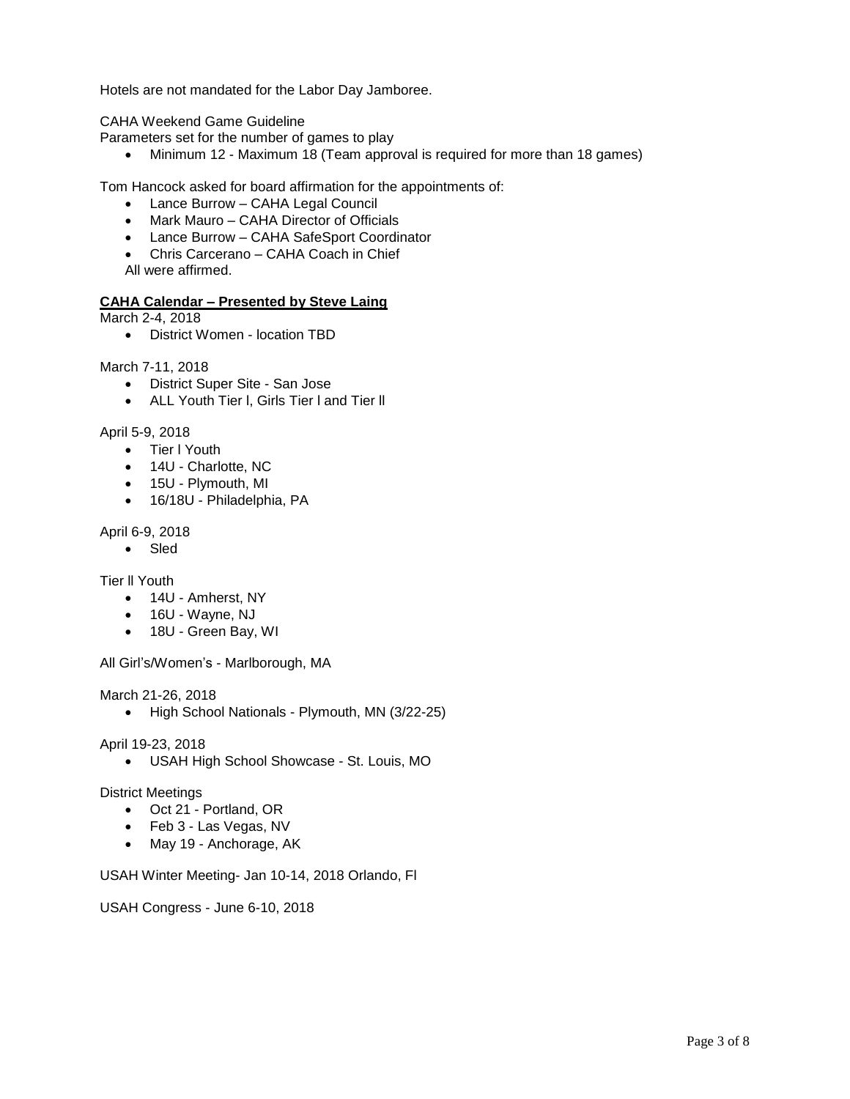Hotels are not mandated for the Labor Day Jamboree.

CAHA Weekend Game Guideline

Parameters set for the number of games to play

• Minimum 12 - Maximum 18 (Team approval is required for more than 18 games)

Tom Hancock asked for board affirmation for the appointments of:

- Lance Burrow CAHA Legal Council
- Mark Mauro CAHA Director of Officials
- Lance Burrow CAHA SafeSport Coordinator
- Chris Carcerano CAHA Coach in Chief
- All were affirmed.

#### **CAHA Calendar – Presented by Steve Laing**

March 2-4, 2018

District Women - location TBD

March 7-11, 2018

- District Super Site San Jose
- ALL Youth Tier l, Girls Tier l and Tier ll

#### April 5-9, 2018

- Tier I Youth
- 14U Charlotte, NC
- 15U Plymouth, MI
- 16/18U Philadelphia, PA

April 6-9, 2018

• Sled

Tier ll Youth

- 14U Amherst, NY
- 16U Wayne, NJ
- 18U Green Bay, WI

All Girl's/Women's - Marlborough, MA

March 21-26, 2018

• High School Nationals - Plymouth, MN (3/22-25)

#### April 19-23, 2018

USAH High School Showcase - St. Louis, MO

#### District Meetings

- Oct 21 Portland, OR
- Feb 3 Las Vegas, NV
- May 19 Anchorage, AK

USAH Winter Meeting- Jan 10-14, 2018 Orlando, Fl

USAH Congress - June 6-10, 2018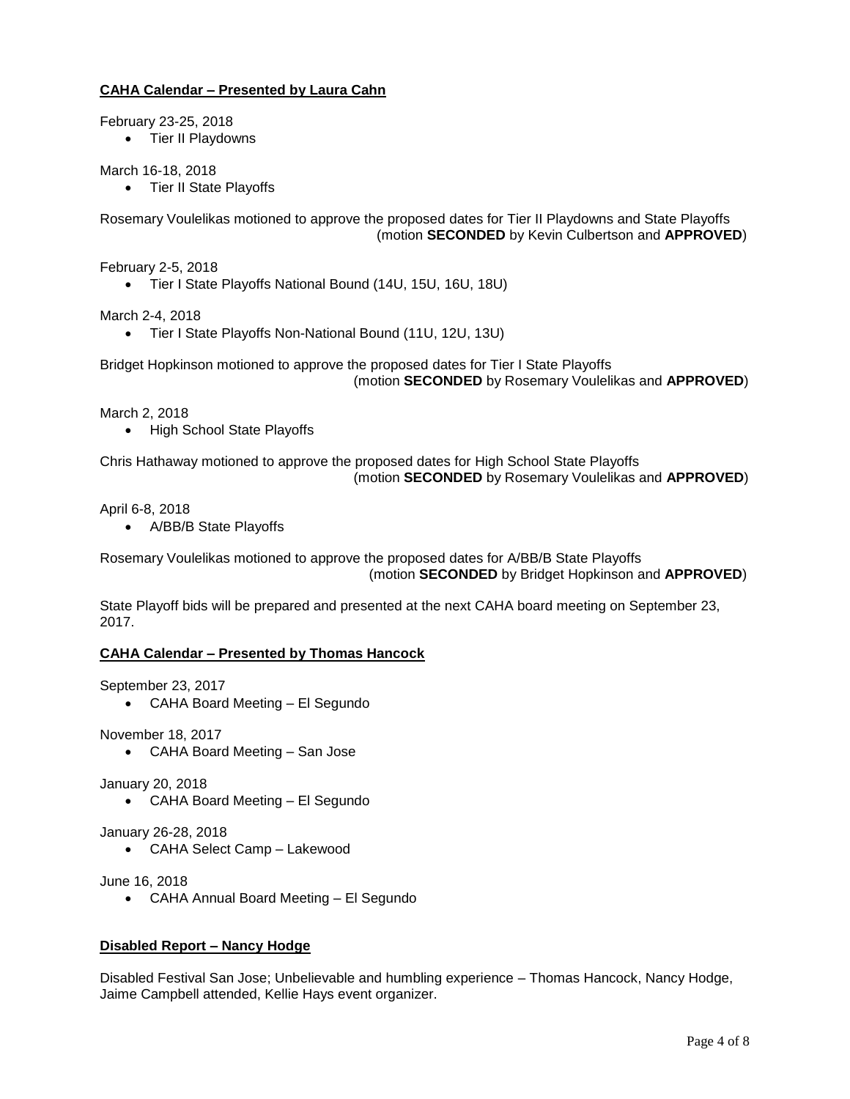# **CAHA Calendar – Presented by Laura Cahn**

February 23-25, 2018

• Tier II Playdowns

March 16-18, 2018

• Tier II State Playoffs

Rosemary Voulelikas motioned to approve the proposed dates for Tier II Playdowns and State Playoffs (motion **SECONDED** by Kevin Culbertson and **APPROVED**)

February 2-5, 2018

Tier I State Playoffs National Bound (14U, 15U, 16U, 18U)

March 2-4, 2018

Tier I State Playoffs Non-National Bound (11U, 12U, 13U)

Bridget Hopkinson motioned to approve the proposed dates for Tier I State Playoffs (motion **SECONDED** by Rosemary Voulelikas and **APPROVED**)

March 2, 2018

• High School State Playoffs

Chris Hathaway motioned to approve the proposed dates for High School State Playoffs (motion **SECONDED** by Rosemary Voulelikas and **APPROVED**)

April 6-8, 2018

A/BB/B State Playoffs

Rosemary Voulelikas motioned to approve the proposed dates for A/BB/B State Playoffs (motion **SECONDED** by Bridget Hopkinson and **APPROVED**)

State Playoff bids will be prepared and presented at the next CAHA board meeting on September 23, 2017.

## **CAHA Calendar – Presented by Thomas Hancock**

September 23, 2017

CAHA Board Meeting – El Segundo

November 18, 2017

CAHA Board Meeting – San Jose

January 20, 2018

CAHA Board Meeting – El Segundo

January 26-28, 2018

CAHA Select Camp – Lakewood

June 16, 2018

CAHA Annual Board Meeting – El Segundo

# **Disabled Report – Nancy Hodge**

Disabled Festival San Jose; Unbelievable and humbling experience – Thomas Hancock, Nancy Hodge, Jaime Campbell attended, Kellie Hays event organizer.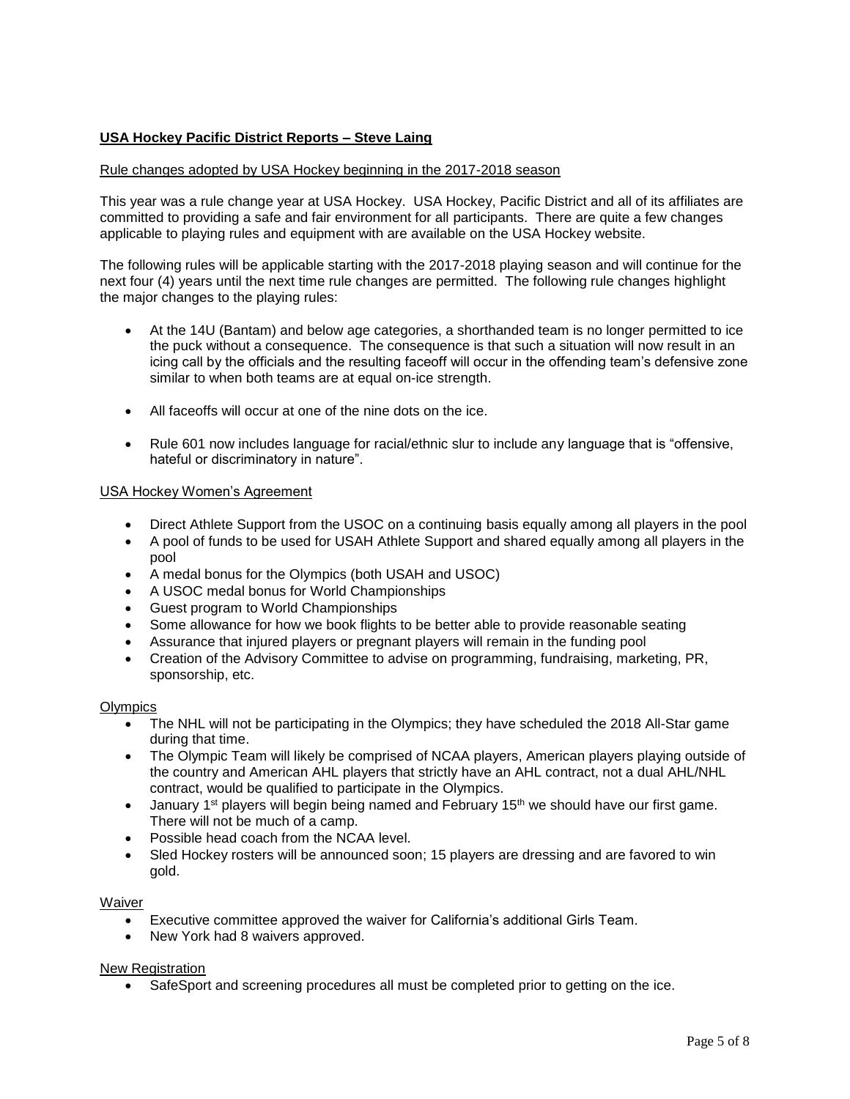# **USA Hockey Pacific District Reports – Steve Laing**

## Rule changes adopted by USA Hockey beginning in the 2017-2018 season

This year was a rule change year at USA Hockey. USA Hockey, Pacific District and all of its affiliates are committed to providing a safe and fair environment for all participants. There are quite a few changes applicable to playing rules and equipment with are available on the USA Hockey website.

The following rules will be applicable starting with the 2017-2018 playing season and will continue for the next four (4) years until the next time rule changes are permitted. The following rule changes highlight the major changes to the playing rules:

- At the 14U (Bantam) and below age categories, a shorthanded team is no longer permitted to ice the puck without a consequence. The consequence is that such a situation will now result in an icing call by the officials and the resulting faceoff will occur in the offending team's defensive zone similar to when both teams are at equal on-ice strength.
- All faceoffs will occur at one of the nine dots on the ice.
- Rule 601 now includes language for racial/ethnic slur to include any language that is "offensive, hateful or discriminatory in nature".

## USA Hockey Women's Agreement

- Direct Athlete Support from the USOC on a continuing basis equally among all players in the pool
- A pool of funds to be used for USAH Athlete Support and shared equally among all players in the pool
- A medal bonus for the Olympics (both USAH and USOC)
- A USOC medal bonus for World Championships
- Guest program to World Championships
- Some allowance for how we book flights to be better able to provide reasonable seating
- Assurance that injured players or pregnant players will remain in the funding pool
- Creation of the Advisory Committee to advise on programming, fundraising, marketing, PR, sponsorship, etc.

## **Olympics**

- The NHL will not be participating in the Olympics; they have scheduled the 2018 All-Star game during that time.
- The Olympic Team will likely be comprised of NCAA players, American players playing outside of the country and American AHL players that strictly have an AHL contract, not a dual AHL/NHL contract, would be qualified to participate in the Olympics.
- **January 1st players will begin being named and February 15th we should have our first game.** There will not be much of a camp.
- Possible head coach from the NCAA level.
- Sled Hockey rosters will be announced soon; 15 players are dressing and are favored to win gold.

## Waiver

- Executive committee approved the waiver for California's additional Girls Team.
- New York had 8 waivers approved.

## New Registration

SafeSport and screening procedures all must be completed prior to getting on the ice.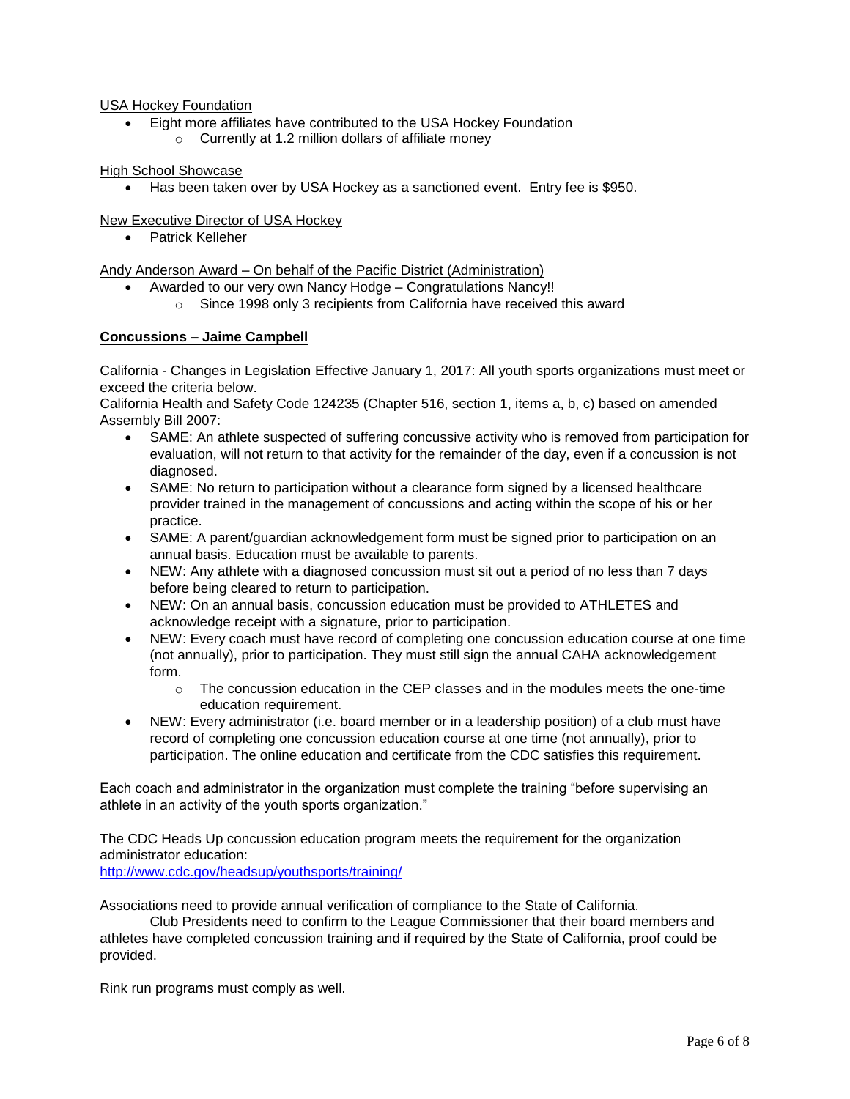## USA Hockey Foundation

- Eight more affiliates have contributed to the USA Hockey Foundation
	- $\circ$  Currently at 1.2 million dollars of affiliate money

## High School Showcase

Has been taken over by USA Hockey as a sanctioned event. Entry fee is \$950.

# New Executive Director of USA Hockey

• Patrick Kelleher

Andy Anderson Award – On behalf of the Pacific District (Administration)

- Awarded to our very own Nancy Hodge Congratulations Nancy!!
	- o Since 1998 only 3 recipients from California have received this award

# **Concussions – Jaime Campbell**

California - Changes in Legislation Effective January 1, 2017: All youth sports organizations must meet or exceed the criteria below.

California Health and Safety Code 124235 (Chapter 516, section 1, items a, b, c) based on amended Assembly Bill 2007:

- SAME: An athlete suspected of suffering concussive activity who is removed from participation for evaluation, will not return to that activity for the remainder of the day, even if a concussion is not diagnosed.
- SAME: No return to participation without a clearance form signed by a licensed healthcare provider trained in the management of concussions and acting within the scope of his or her practice.
- SAME: A parent/guardian acknowledgement form must be signed prior to participation on an annual basis. Education must be available to parents.
- NEW: Any athlete with a diagnosed concussion must sit out a period of no less than 7 days before being cleared to return to participation.
- NEW: On an annual basis, concussion education must be provided to ATHLETES and acknowledge receipt with a signature, prior to participation.
- NEW: Every coach must have record of completing one concussion education course at one time (not annually), prior to participation. They must still sign the annual CAHA acknowledgement form.
	- $\circ$  The concussion education in the CEP classes and in the modules meets the one-time education requirement.
- NEW: Every administrator (i.e. board member or in a leadership position) of a club must have record of completing one concussion education course at one time (not annually), prior to participation. The online education and certificate from the CDC satisfies this requirement.

Each coach and administrator in the organization must complete the training "before supervising an athlete in an activity of the youth sports organization."

The CDC Heads Up concussion education program meets the requirement for the organization administrator education:

<http://www.cdc.gov/headsup/youthsports/training/>

Associations need to provide annual verification of compliance to the State of California.

Club Presidents need to confirm to the League Commissioner that their board members and athletes have completed concussion training and if required by the State of California, proof could be provided.

Rink run programs must comply as well.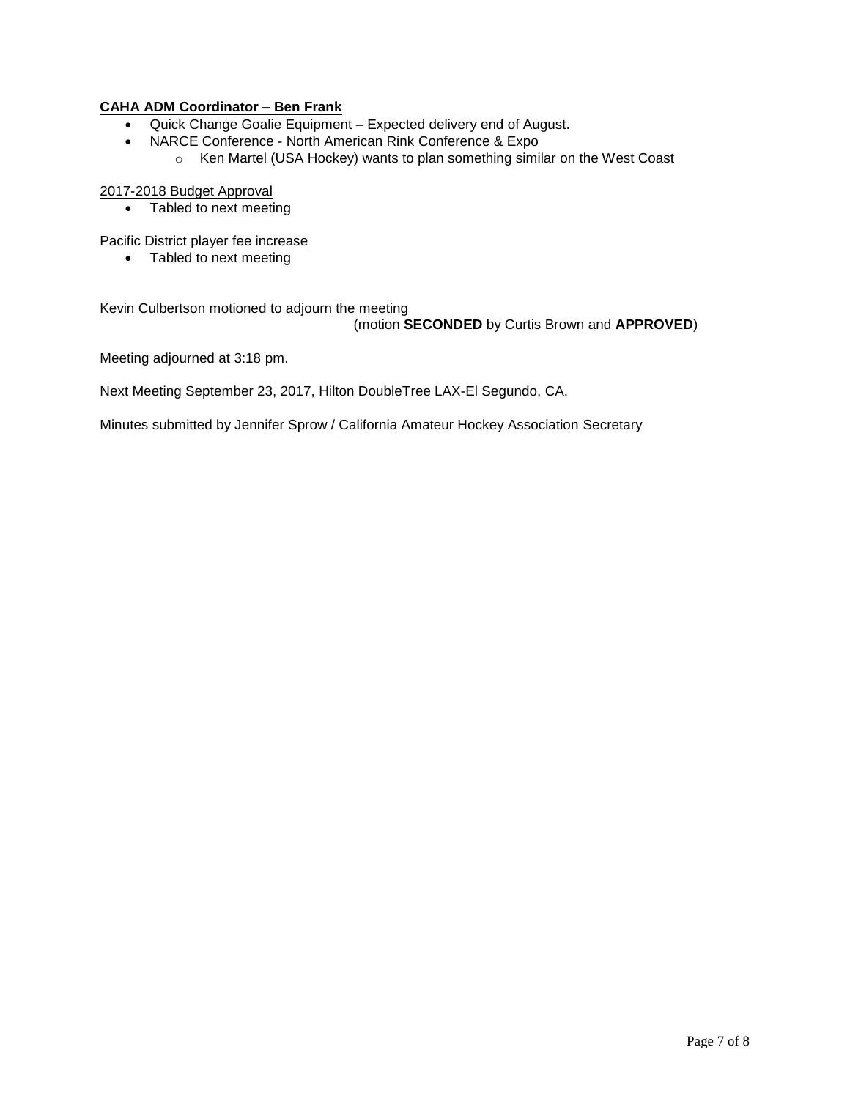# **CAHA ADM Coordinator – Ben Frank**

- Quick Change Goalie Equipment Expected delivery end of August.
- NARCE Conference North American Rink Conference & Expo
	- o Ken Martel (USA Hockey) wants to plan something similar on the West Coast

## 2017-2018 Budget Approval

• Tabled to next meeting

Pacific District player fee increase

• Tabled to next meeting

Kevin Culbertson motioned to adjourn the meeting

(motion **SECONDED** by Curtis Brown and **APPROVED**)

Meeting adjourned at 3:18 pm.

Next Meeting September 23, 2017, Hilton DoubleTree LAX-El Segundo, CA.

Minutes submitted by Jennifer Sprow / California Amateur Hockey Association Secretary